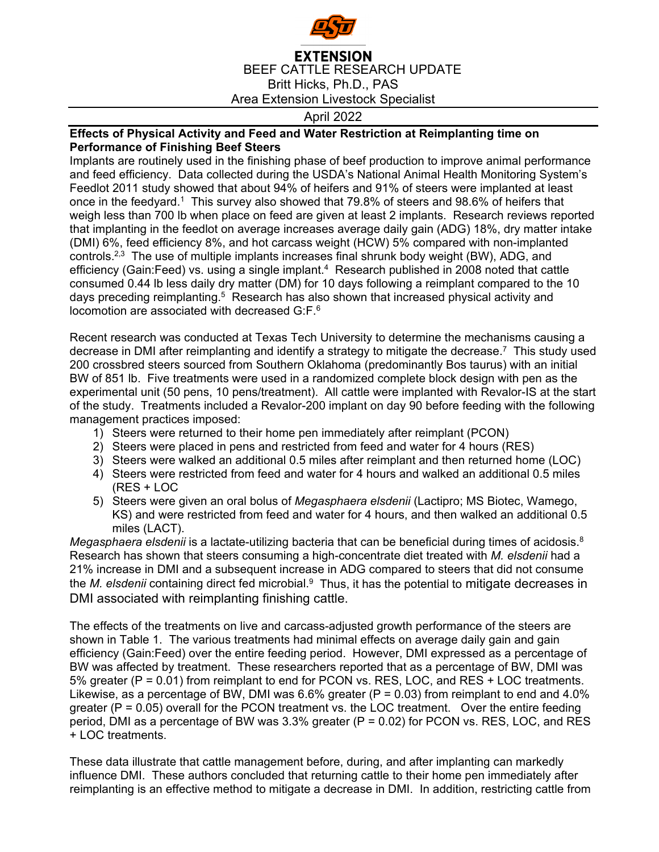

## **EXTENSION** BEEF CATTLE RESEARCH UPDATE Britt Hicks, Ph.D., PAS Area Extension Livestock Specialist

April 2022

## **Effects of Physical Activity and Feed and Water Restriction at Reimplanting time on Performance of Finishing Beef Steers**

Implants are routinely used in the finishing phase of beef production to improve animal performance and feed efficiency. Data collected during the USDA's National Animal Health Monitoring System's Feedlot 2011 study showed that about 94% of heifers and 91% of steers were implanted at least once in the feedyard.<sup>1</sup> This survey also showed that 79.8% of steers and 98.6% of heifers that weigh less than 700 lb when place on feed are given at least 2 implants. Research reviews reported that implanting in the feedlot on average increases average daily gain (ADG) 18%, dry matter intake (DMI) 6%, feed efficiency 8%, and hot carcass weight (HCW) 5% compared with non-implanted controls.2,3 The use of multiple implants increases final shrunk body weight (BW), ADG, and efficiency (Gain:Feed) vs. using a single implant.4 Research published in 2008 noted that cattle consumed 0.44 lb less daily dry matter (DM) for 10 days following a reimplant compared to the 10 days preceding reimplanting.<sup>5</sup> Research has also shown that increased physical activity and locomotion are associated with decreased G:F.6

Recent research was conducted at Texas Tech University to determine the mechanisms causing a decrease in DMI after reimplanting and identify a strategy to mitigate the decrease.<sup>7</sup> This study used 200 crossbred steers sourced from Southern Oklahoma (predominantly Bos taurus) with an initial BW of 851 lb. Five treatments were used in a randomized complete block design with pen as the experimental unit (50 pens, 10 pens/treatment). All cattle were implanted with Revalor-IS at the start of the study. Treatments included a Revalor-200 implant on day 90 before feeding with the following management practices imposed:

- 1) Steers were returned to their home pen immediately after reimplant (PCON)
- 2) Steers were placed in pens and restricted from feed and water for 4 hours (RES)
- 3) Steers were walked an additional 0.5 miles after reimplant and then returned home (LOC)
- 4) Steers were restricted from feed and water for 4 hours and walked an additional 0.5 miles (RES + LOC
- 5) Steers were given an oral bolus of *Megasphaera elsdenii* (Lactipro; MS Biotec, Wamego, KS) and were restricted from feed and water for 4 hours, and then walked an additional 0.5 miles (LACT).

Megasphaera elsdenii is a lactate-utilizing bacteria that can be beneficial during times of acidosis.<sup>8</sup> Research has shown that steers consuming a high-concentrate diet treated with *M. elsdenii* had a 21% increase in DMI and a subsequent increase in ADG compared to steers that did not consume the *M. elsdenii* containing direct fed microbial.9 Thus, it has the potential to mitigate decreases in DMI associated with reimplanting finishing cattle.

The effects of the treatments on live and carcass-adjusted growth performance of the steers are shown in Table 1. The various treatments had minimal effects on average daily gain and gain efficiency (Gain:Feed) over the entire feeding period. However, DMI expressed as a percentage of BW was affected by treatment. These researchers reported that as a percentage of BW, DMI was 5% greater (P = 0.01) from reimplant to end for PCON vs. RES, LOC, and RES + LOC treatments. Likewise, as a percentage of BW, DMI was  $6.6\%$  greater (P = 0.03) from reimplant to end and 4.0% greater ( $P = 0.05$ ) overall for the PCON treatment vs. the LOC treatment. Over the entire feeding period, DMI as a percentage of BW was  $3.3\%$  greater (P = 0.02) for PCON vs. RES, LOC, and RES + LOC treatments.

These data illustrate that cattle management before, during, and after implanting can markedly influence DMI. These authors concluded that returning cattle to their home pen immediately after reimplanting is an effective method to mitigate a decrease in DMI. In addition, restricting cattle from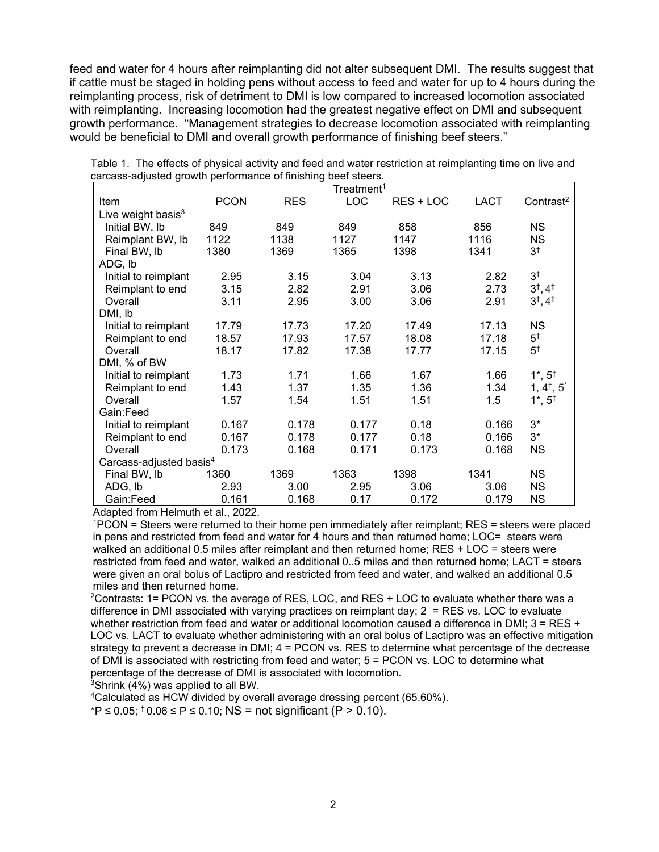feed and water for 4 hours after reimplanting did not alter subsequent DMI. The results suggest that if cattle must be staged in holding pens without access to feed and water for up to 4 hours during the reimplanting process, risk of detriment to DMI is low compared to increased locomotion associated with reimplanting. Increasing locomotion had the greatest negative effect on DMI and subsequent growth performance. "Management strategies to decrease locomotion associated with reimplanting would be beneficial to DMI and overall growth performance of finishing beef steers."

|                                     | $3000$ adjactor gromat portormation of millening<br>Treatment <sup>1</sup> |            |            |           |             |                               |
|-------------------------------------|----------------------------------------------------------------------------|------------|------------|-----------|-------------|-------------------------------|
| Item                                | <b>PCON</b>                                                                | <b>RES</b> | <b>LOC</b> | RES + LOC | <b>LACT</b> | Contrast <sup>2</sup>         |
| Live weight basis <sup>3</sup>      |                                                                            |            |            |           |             |                               |
| Initial BW, lb                      | 849                                                                        | 849        | 849        | 858       | 856         | <b>NS</b>                     |
| Reimplant BW, Ib                    | 1122                                                                       | 1138       | 1127       | 1147      | 1116        | <b>NS</b>                     |
| Final BW, Ib                        | 1380                                                                       | 1369       | 1365       | 1398      | 1341        | 3 <sup>†</sup>                |
| ADG, lb                             |                                                                            |            |            |           |             |                               |
| Initial to reimplant                | 2.95                                                                       | 3.15       | 3.04       | 3.13      | 2.82        | 3 <sup>†</sup>                |
| Reimplant to end                    | 3.15                                                                       | 2.82       | 2.91       | 3.06      | 2.73        | $3^{\dagger}, 4^{\dagger}$    |
| Overall                             | 3.11                                                                       | 2.95       | 3.00       | 3.06      | 2.91        | $3^{\dagger}, 4^{\dagger}$    |
| DMI, lb                             |                                                                            |            |            |           |             |                               |
| Initial to reimplant                | 17.79                                                                      | 17.73      | 17.20      | 17.49     | 17.13       | <b>NS</b>                     |
| Reimplant to end                    | 18.57                                                                      | 17.93      | 17.57      | 18.08     | 17.18       | 5 <sup>†</sup>                |
| Overall                             | 18.17                                                                      | 17.82      | 17.38      | 17.77     | 17.15       | $5^{\dagger}$                 |
| DMI, % of BW                        |                                                                            |            |            |           |             |                               |
| Initial to reimplant                | 1.73                                                                       | 1.71       | 1.66       | 1.67      | 1.66        | $1^*$ , $5^+$                 |
| Reimplant to end                    | 1.43                                                                       | 1.37       | 1.35       | 1.36      | 1.34        | $1, 4^{\dagger}, 5^{\dagger}$ |
| Overall                             | 1.57                                                                       | 1.54       | 1.51       | 1.51      | 1.5         | $1^*$ , $5^+$                 |
| Gain:Feed                           |                                                                            |            |            |           |             |                               |
| Initial to reimplant                | 0.167                                                                      | 0.178      | 0.177      | 0.18      | 0.166       | $3^*$                         |
| Reimplant to end                    | 0.167                                                                      | 0.178      | 0.177      | 0.18      | 0.166       | $3^*$                         |
| Overall                             | 0.173                                                                      | 0.168      | 0.171      | 0.173     | 0.168       | <b>NS</b>                     |
| Carcass-adjusted basis <sup>4</sup> |                                                                            |            |            |           |             |                               |
| Final BW, Ib                        | 1360                                                                       | 1369       | 1363       | 1398      | 1341        | <b>NS</b>                     |
| ADG, lb                             | 2.93                                                                       | 3.00       | 2.95       | 3.06      | 3.06        | <b>NS</b>                     |
| Gain:Feed                           | 0.161                                                                      | 0.168      | 0.17       | 0.172     | 0.179       | <b>NS</b>                     |

Table 1. The effects of physical activity and feed and water restriction at reimplanting time on live and carcass-adjusted growth performance of finishing beef steers.

Adapted from Helmuth et al., 2022.

1PCON = Steers were returned to their home pen immediately after reimplant; RES = steers were placed in pens and restricted from feed and water for 4 hours and then returned home; LOC= steers were walked an additional 0.5 miles after reimplant and then returned home; RES + LOC = steers were restricted from feed and water, walked an additional 0..5 miles and then returned home; LACT = steers were given an oral bolus of Lactipro and restricted from feed and water, and walked an additional 0.5 miles and then returned home.

 $2$ Contrasts: 1= PCON vs. the average of RES, LOC, and RES + LOC to evaluate whether there was a difference in DMI associated with varying practices on reimplant day; 2 = RES vs. LOC to evaluate whether restriction from feed and water or additional locomotion caused a difference in DMI; 3 = RES + LOC vs. LACT to evaluate whether administering with an oral bolus of Lactipro was an effective mitigation strategy to prevent a decrease in DMI; 4 = PCON vs. RES to determine what percentage of the decrease of DMI is associated with restricting from feed and water; 5 = PCON vs. LOC to determine what percentage of the decrease of DMI is associated with locomotion.

3Shrink (4%) was applied to all BW.

4Calculated as HCW divided by overall average dressing percent (65.60%).

\*P ≤ 0.05; **†** 0.06 ≤ P ≤ 0.10; NS = not significant (P > 0.10).